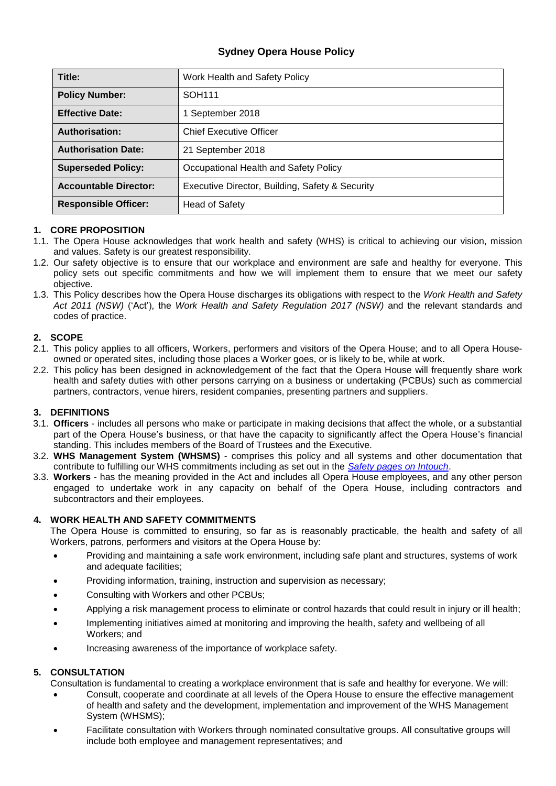# **Sydney Opera House Policy**

| Title:                       | Work Health and Safety Policy                   |
|------------------------------|-------------------------------------------------|
| <b>Policy Number:</b>        | SOH <sub>111</sub>                              |
| <b>Effective Date:</b>       | 1 September 2018                                |
| <b>Authorisation:</b>        | <b>Chief Executive Officer</b>                  |
| <b>Authorisation Date:</b>   | 21 September 2018                               |
| <b>Superseded Policy:</b>    | Occupational Health and Safety Policy           |
| <b>Accountable Director:</b> | Executive Director, Building, Safety & Security |
| <b>Responsible Officer:</b>  | <b>Head of Safety</b>                           |

### **1. CORE PROPOSITION**

- 1.1. The Opera House acknowledges that work health and safety (WHS) is critical to achieving our vision, mission and values. Safety is our greatest responsibility.
- 1.2. Our safety objective is to ensure that our workplace and environment are safe and healthy for everyone. This policy sets out specific commitments and how we will implement them to ensure that we meet our safety objective.
- 1.3. This Policy describes how the Opera House discharges its obligations with respect to the *Work Health and Safety Act 2011 (NSW)* ('Act'), the *Work Health and Safety Regulation 2017 (NSW)* and the relevant standards and codes of practice.

### **2. SCOPE**

- 2.1. This policy applies to all officers, Workers, performers and visitors of the Opera House; and to all Opera Houseowned or operated sites, including those places a Worker goes, or is likely to be, while at work.
- 2.2. This policy has been designed in acknowledgement of the fact that the Opera House will frequently share work health and safety duties with other persons carrying on a business or undertaking (PCBUs) such as commercial partners, contractors, venue hirers, resident companies, presenting partners and suppliers.

### **3. DEFINITIONS**

- 3.1. **Officers**  includes all persons who make or participate in making decisions that affect the whole, or a substantial part of the Opera House's business, or that have the capacity to significantly affect the Opera House's financial standing. This includes members of the Board of Trustees and the Executive.
- 3.2. **WHS Management System (WHSMS)** comprises this policy and all systems and other documentation that contribute to fulfilling our WHS commitments including as set out in the *[Safety pages](http://intouch.soh.com/sections/safety/procedures/index.asp) on Intouch*.
- 3.3. **Workers**  has the meaning provided in the Act and includes all Opera House employees, and any other person engaged to undertake work in any capacity on behalf of the Opera House, including contractors and subcontractors and their employees.

### **4. WORK HEALTH AND SAFETY COMMITMENTS**

The Opera House is committed to ensuring, so far as is reasonably practicable, the health and safety of all Workers, patrons, performers and visitors at the Opera House by:

- Providing and maintaining a safe work environment, including safe plant and structures, systems of work and adequate facilities;
- Providing information, training, instruction and supervision as necessary;
- Consulting with Workers and other PCBUs;
- Applying a risk management process to eliminate or control hazards that could result in injury or ill health;
- Implementing initiatives aimed at monitoring and improving the health, safety and wellbeing of all Workers; and
- Increasing awareness of the importance of workplace safety.

## **5. CONSULTATION**

Consultation is fundamental to creating a workplace environment that is safe and healthy for everyone. We will:

- Consult, cooperate and coordinate at all levels of the Opera House to ensure the effective management of health and safety and the development, implementation and improvement of the WHS Management System (WHSMS);
- Facilitate consultation with Workers through nominated consultative groups. All consultative groups will include both employee and management representatives; and